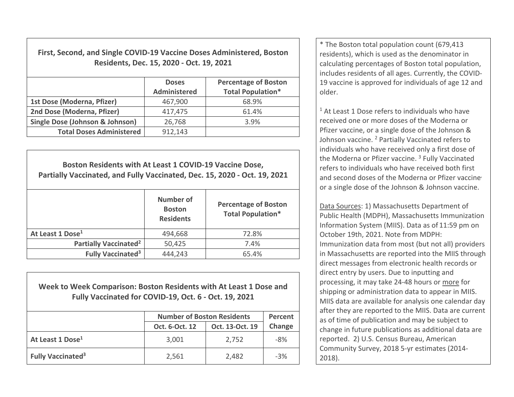**First, Second, and Single COVID‐19 Vaccine Doses Administered, Boston Residents, Dec. 15, 2020 ‐ Oct. 19, 2021**

|                                            | <b>Doses</b><br><b>Administered</b> | <b>Percentage of Boston</b><br><b>Total Population*</b> |
|--------------------------------------------|-------------------------------------|---------------------------------------------------------|
| 1st Dose (Moderna, Pfizer)                 | 467,900                             | 68.9%                                                   |
| 2nd Dose (Moderna, Pfizer)                 | 417,475                             | 61.4%                                                   |
| <b>Single Dose (Johnson &amp; Johnson)</b> | 26,768                              | 3.9%                                                    |
| <b>Total Doses Administered</b>            | 912,143                             |                                                         |

| Boston Residents with At Least 1 COVID-19 Vaccine Dose,<br>Partially Vaccinated, and Fully Vaccinated, Dec. 15, 2020 - Oct. 19, 2021 |                                                |                                                         |  |  |  |
|--------------------------------------------------------------------------------------------------------------------------------------|------------------------------------------------|---------------------------------------------------------|--|--|--|
|                                                                                                                                      | Number of<br><b>Boston</b><br><b>Residents</b> | <b>Percentage of Boston</b><br><b>Total Population*</b> |  |  |  |
| At Least 1 Dose <sup>1</sup>                                                                                                         | 494,668                                        | 72.8%                                                   |  |  |  |
| <b>Partially Vaccinated<sup>2</sup></b>                                                                                              | 50,425                                         | 7.4%                                                    |  |  |  |
| <b>Fully Vaccinated<sup>3</sup></b>                                                                                                  | 444,243                                        | 65.4%                                                   |  |  |  |

**Week to Week Comparison: Boston Residents with At Least 1 Dose andFully Vaccinated for COVID‐19, Oct. 6 ‐ Oct. 19, 2021**

|                                     | <b>Number of Boston Residents</b> | Percent         |        |
|-------------------------------------|-----------------------------------|-----------------|--------|
|                                     | Oct. 6-Oct. 12                    | Oct. 13-Oct. 19 | Change |
| At Least 1 Dose <sup>1</sup>        | 3,001                             | 2,752           | $-8%$  |
| <b>Fully Vaccinated<sup>3</sup></b> | 2,561                             | 2,482           | $-3%$  |

\* The Boston total population count (679,413 residents), which is used as the denominator in calculating percentages of Boston total population, includes residents of all ages. Currently, the COVID‐ 19 vaccine is approved for individuals of age 12 and older.

 $1$  At Least 1 Dose refers to individuals who have received one or more doses of the Moderna or Pfizer vaccine, or <sup>a</sup> single dose of the Johnson & Johnson vaccine. <sup>2</sup> Partially Vaccinated refers to individuals who have received only <sup>a</sup> first dose of the Moderna or Pfizer vaccine. <sup>3</sup> Fully Vaccinated refers to individuals who have received both first and second doses of the Moderna or Pfizer vaccine, or a single dose of the Johnson & Johnson vaccine.

Data Sources: 1) Massachusetts Department of Public Health (MDPH), Massachusetts Immunization Information System (MIIS). Data as of 11:59 pm on October 19th, 2021. Note from MDPH: Immunization data from most (but not all) providers in Massachusetts are reported into the MIIS through direct messages from electronic health records or direct entry by users. Due to inputting and processing, it may take 24‐48 hours or more for shipping or administration data to appear in MIIS. MIIS data are available for analysis one calendar day after they are reported to the MIIS. Data are current as of time of publication and may be subject to change in future publications as additional data are reported. 2) U.S. Census Bureau, American Community Survey, 2018 5‐yr estimates (2014‐ 2018).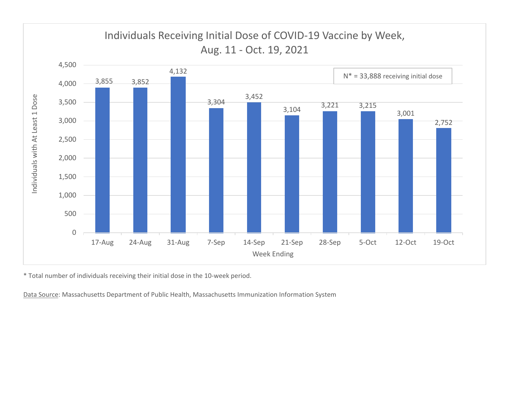

\* Total number of individuals receiving their initial dose in the 10‐week period.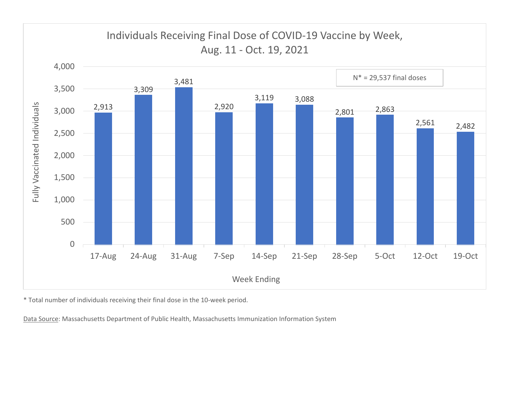

\* Total number of individuals receiving their final dose in the 10‐week period.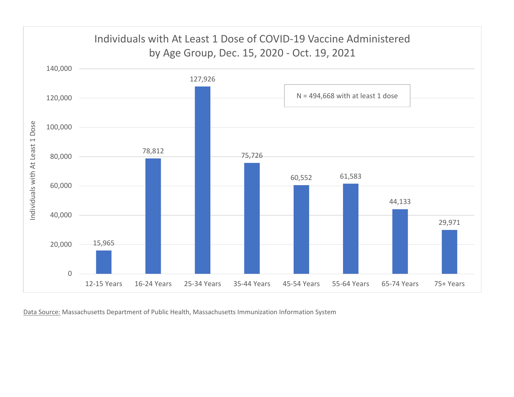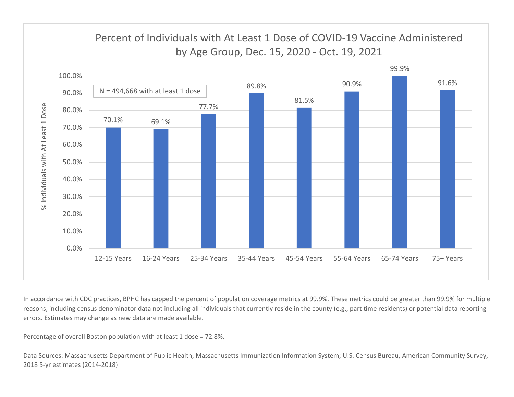

In accordance with CDC practices, BPHC has capped the percent of population coverage metrics at 99.9%. These metrics could be greater than 99.9% for multiple reasons, including census denominator data not including all individuals that currently reside in the county (e.g., part time residents) or potential data reporting errors. Estimates may change as new data are made available.

Percentage of overall Boston population with at least 1 dose <sup>=</sup> 72.8%.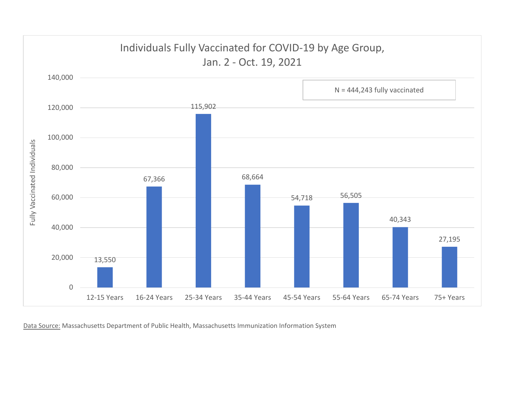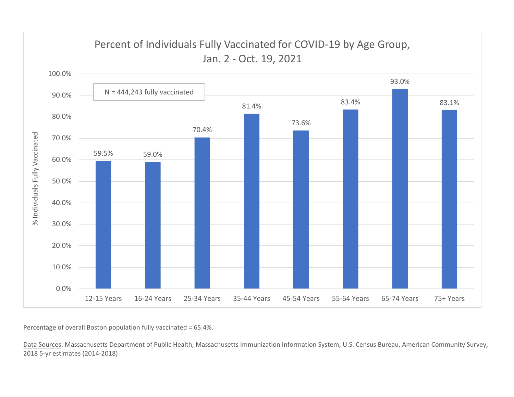

Percentage of overall Boston population fully vaccinated <sup>=</sup> 65.4%.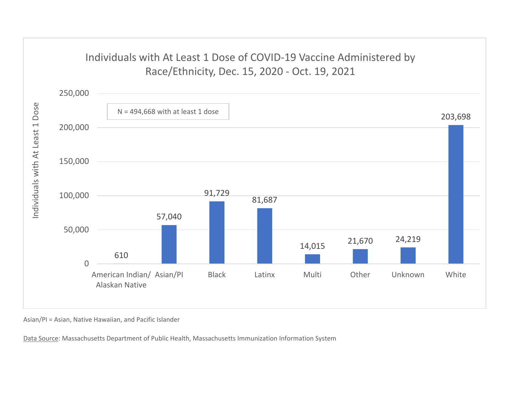## Individuals with At Least 1 Dose of COVID‐19 Vaccine Administered by Race/Ethnicity, Dec. 15, 2020 ‐ Oct. 19, 2021



Asian/PI <sup>=</sup> Asian, Native Hawaiian, and Pacific Islander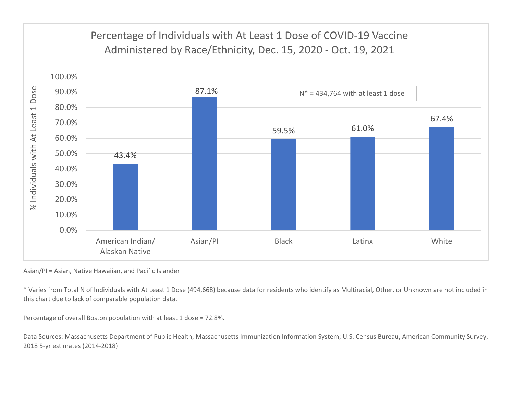

Asian/PI <sup>=</sup> Asian, Native Hawaiian, and Pacific Islander

\* Varies from Total N of Individuals with At Least 1 Dose (494,668) because data for residents who identify as Multiracial, Other, or Unknown are not included in this chart due to lack of comparable population data.

Percentage of overall Boston population with at least 1 dose <sup>=</sup> 72.8%.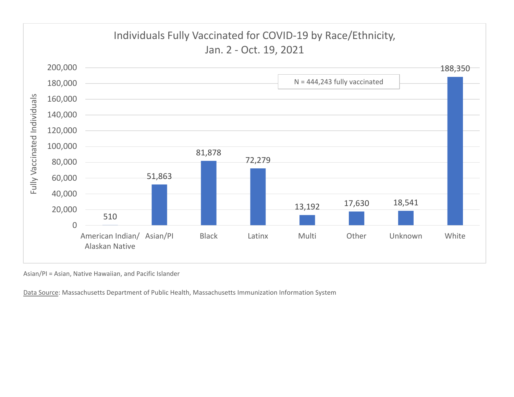

Asian/PI <sup>=</sup> Asian, Native Hawaiian, and Pacific Islander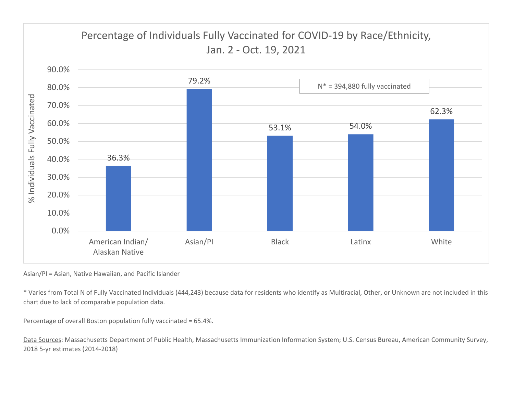

Asian/PI <sup>=</sup> Asian, Native Hawaiian, and Pacific Islander

\* Varies from Total N of Fully Vaccinated Individuals (444,243) because data for residents who identify as Multiracial, Other, or Unknown are not included in this chart due to lack of comparable population data.

Percentage of overall Boston population fully vaccinated <sup>=</sup> 65.4%.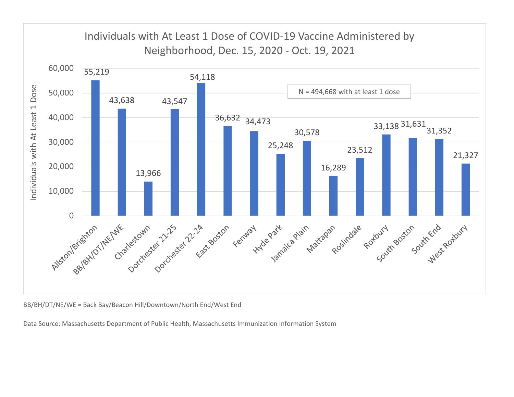

BB/BH/DT/NE/WE <sup>=</sup> Back Bay/Beacon Hill/Downtown/North End/West End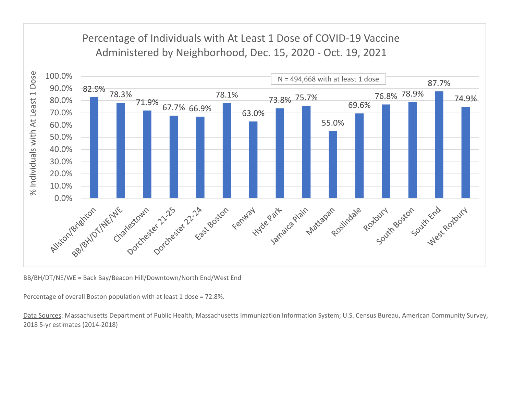## Percentage of Individuals with At Least 1 Dose of COVID‐19 Vaccine Administered by Neighborhood, Dec. 15, 2020 ‐ Oct. 19, 2021



BB/BH/DT/NE/WE <sup>=</sup> Back Bay/Beacon Hill/Downtown/North End/West End

Percentage of overall Boston population with at least 1 dose <sup>=</sup> 72.8%.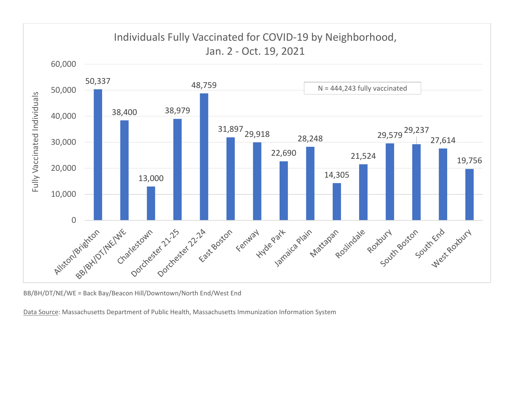

BB/BH/DT/NE/WE <sup>=</sup> Back Bay/Beacon Hill/Downtown/North End/West End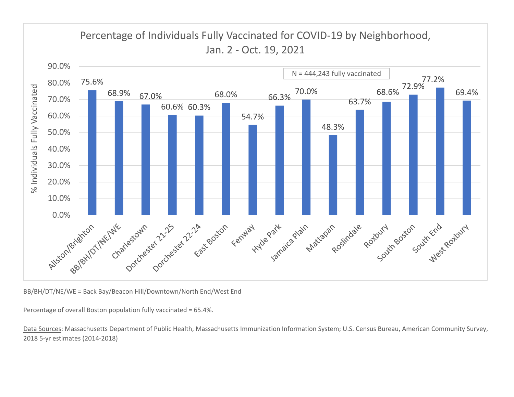

BB/BH/DT/NE/WE <sup>=</sup> Back Bay/Beacon Hill/Downtown/North End/West End

Percentage of overall Boston population fully vaccinated <sup>=</sup> 65.4%.